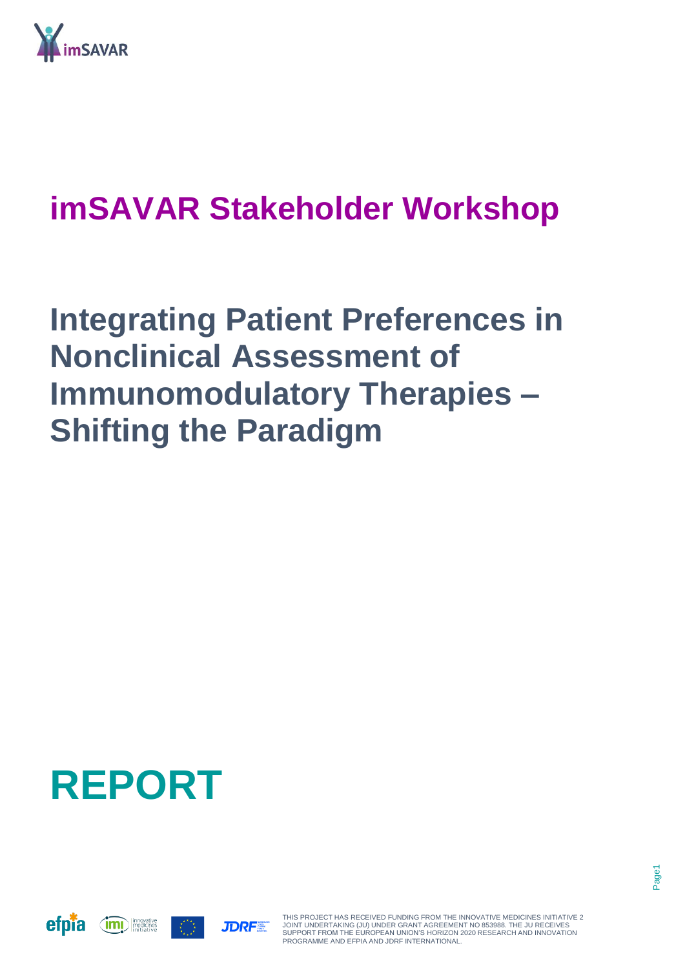

## **imSAVAR Stakeholder Workshop**

## **Integrating Patient Preferences in Nonclinical Assessment of Immunomodulatory Therapies – Shifting the Paradigm**

# **REPORT**







THIS PROJECT HAS RECEIVED FUNDING FROM THE INNOVATIVE MEDICINES INITIATIVE 2 JOINT UNDERTAKING (JU) UNDER GRANT AGREEMENT NO 853988. THE JU RECEIVES SUPPORT FROM THE EUROPEAN UNION'S HORIZON 2020 RESEARCH AND INNOVATION PROGRAMME AND EFPIA AND JDRF INTERNATIONAL.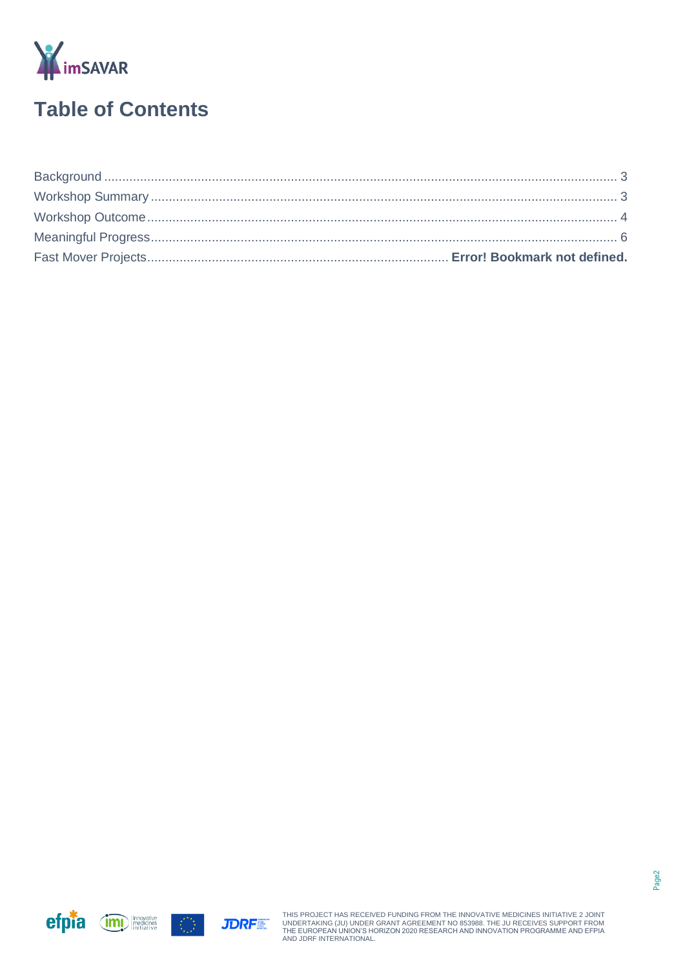

### **Table of Contents**





THIS PROJECT HAS RECEIVED FUNDING FROM THE INNOVATIVE MEDICINES INITIATIVE 2 JOINT<br>UNDERTAKING (JU) UNDER GRANT AGREEMENT NO 853988. THE JU RECEIVES SUPPORT FROM<br>THE EUROPEAN UNION'S HORIZON 2020 RESEARCH AND INNOVATION PR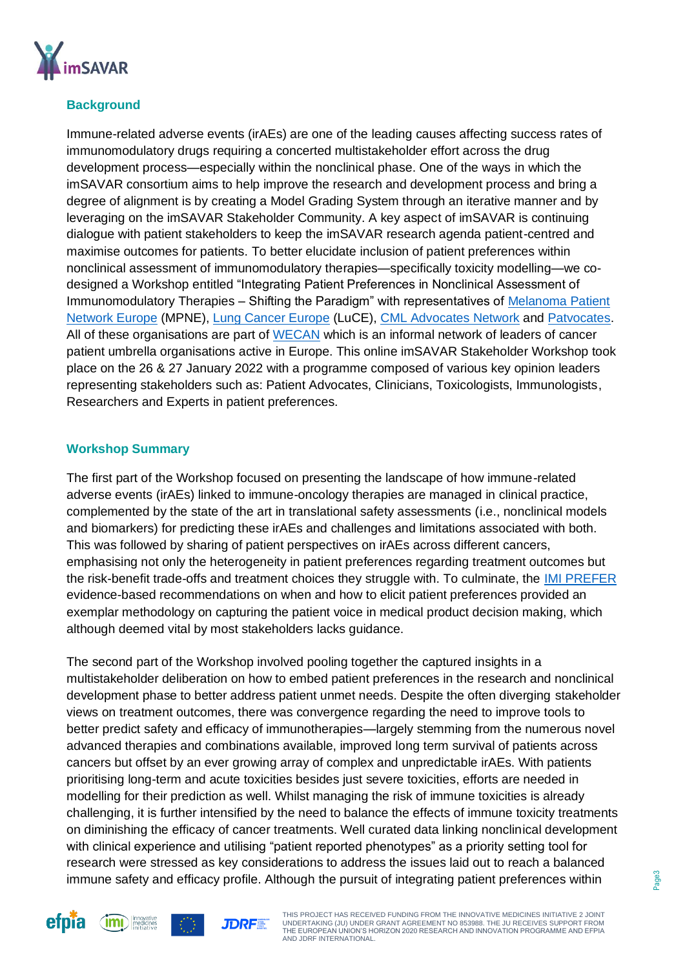

#### <span id="page-2-0"></span>**Background**

Immune-related adverse events (irAEs) are one of the leading causes affecting success rates of immunomodulatory drugs requiring a concerted multistakeholder effort across the drug development process—especially within the nonclinical phase. One of the ways in which the imSAVAR consortium aims to help improve the research and development process and bring a degree of alignment is by creating a Model Grading System through an iterative manner and by leveraging on the imSAVAR Stakeholder Community. A key aspect of imSAVAR is continuing dialogue with patient stakeholders to keep the imSAVAR research agenda patient-centred and maximise outcomes for patients. To better elucidate inclusion of patient preferences within nonclinical assessment of immunomodulatory therapies—specifically toxicity modelling—we codesigned a Workshop entitled "Integrating Patient Preferences in Nonclinical Assessment of Immunomodulatory Therapies – Shifting the Paradigm" with representatives of [Melanoma Patient](http://www.melanomapatientnetworkeu.org/)  [Network Europe](http://www.melanomapatientnetworkeu.org/) (MPNE), [Lung Cancer Europe](https://www.lungcancereurope.eu/) (LuCE), [CML Advocates Network](https://www.cmladvocates.net/) and [Patvocates.](https://www.patvocates.net/) All of these organisations are part of [WECAN](https://wecanadvocate.eu/) which is an informal network of leaders of cancer patient umbrella organisations active in Europe. This online imSAVAR Stakeholder Workshop took place on the 26 & 27 January 2022 with a programme composed of various key opinion leaders representing stakeholders such as: Patient Advocates, Clinicians, Toxicologists, Immunologists, Researchers and Experts in patient preferences.

#### <span id="page-2-1"></span>**Workshop Summary**

The first part of the Workshop focused on presenting the landscape of how immune-related adverse events (irAEs) linked to immune-oncology therapies are managed in clinical practice, complemented by the state of the art in translational safety assessments (i.e., nonclinical models and biomarkers) for predicting these irAEs and challenges and limitations associated with both. This was followed by sharing of patient perspectives on irAEs across different cancers, emphasising not only the heterogeneity in patient preferences regarding treatment outcomes but the risk-benefit trade-offs and treatment choices they struggle with. To culminate, the [IMI PREFER](https://www.imi-prefer.eu/) evidence-based recommendations on when and how to elicit patient preferences provided an exemplar methodology on capturing the patient voice in medical product decision making, which although deemed vital by most stakeholders lacks guidance.

The second part of the Workshop involved pooling together the captured insights in a multistakeholder deliberation on how to embed patient preferences in the research and nonclinical development phase to better address patient unmet needs. Despite the often diverging stakeholder views on treatment outcomes, there was convergence regarding the need to improve tools to better predict safety and efficacy of immunotherapies—largely stemming from the numerous novel advanced therapies and combinations available, improved long term survival of patients across cancers but offset by an ever growing array of complex and unpredictable irAEs. With patients prioritising long-term and acute toxicities besides just severe toxicities, efforts are needed in modelling for their prediction as well. Whilst managing the risk of immune toxicities is already challenging, it is further intensified by the need to balance the effects of immune toxicity treatments on diminishing the efficacy of cancer treatments. Well curated data linking nonclinical development with clinical experience and utilising "patient reported phenotypes" as a priority setting tool for research were stressed as key considerations to address the issues laid out to reach a balanced immune safety and efficacy profile. Although the pursuit of integrating patient preferences within



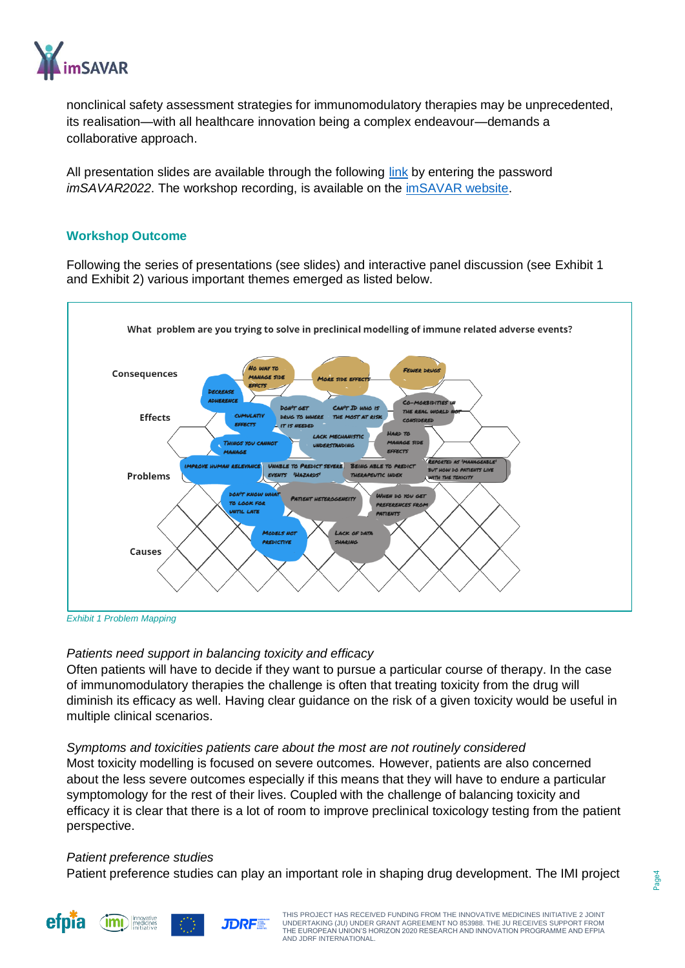

nonclinical safety assessment strategies for immunomodulatory therapies may be unprecedented, its realisation—with all healthcare innovation being a complex endeavour—demands a collaborative approach.

All presentation slides are available through the following [link](https://miro.com/app/board/uXjVOCvcui8=/?invite_link_id=662420181926) by entering the password *imSAVAR2022*. The workshop recording, is available on the [imSAVAR website.](https://imsavar.eu/general-project-news/integrating-patient-preferences-in-nonclinical-assessment-of-immunomodulatory-therapies-shifting-the-paradigm/)

#### <span id="page-3-0"></span>**Workshop Outcome**

Following the series of presentations (see slides) and interactive panel discussion (see Exhibit 1 and Exhibit 2) various important themes emerged as listed below.



*Exhibit 1 Problem Mapping*

#### *Patients need support in balancing toxicity and efficacy*

Often patients will have to decide if they want to pursue a particular course of therapy. In the case of immunomodulatory therapies the challenge is often that treating toxicity from the drug will diminish its efficacy as well. Having clear guidance on the risk of a given toxicity would be useful in multiple clinical scenarios.

#### *Symptoms and toxicities patients care about the most are not routinely considered*

Most toxicity modelling is focused on severe outcomes. However, patients are also concerned about the less severe outcomes especially if this means that they will have to endure a particular symptomology for the rest of their lives. Coupled with the challenge of balancing toxicity and efficacy it is clear that there is a lot of room to improve preclinical toxicology testing from the patient perspective.

#### *Patient preference studies*

Patient preference studies can play an important role in shaping drug development. The IMI project





THIS PROJECT HAS RECEIVED FUNDING FROM THE INNOVATIVE MEDICINES INITIATIVE 2 JOINT UNDERTAKING (JU) UNDER GRANT AGREEMENT NO 853988. THE JU RECEIVES SUPPORT FROM THE EUROPEAN UNION'S HORIZON 2020 RESEARCH AND INNOVATION PROGRAMME AND EFPIA AND JDRF INTERNATIONAL.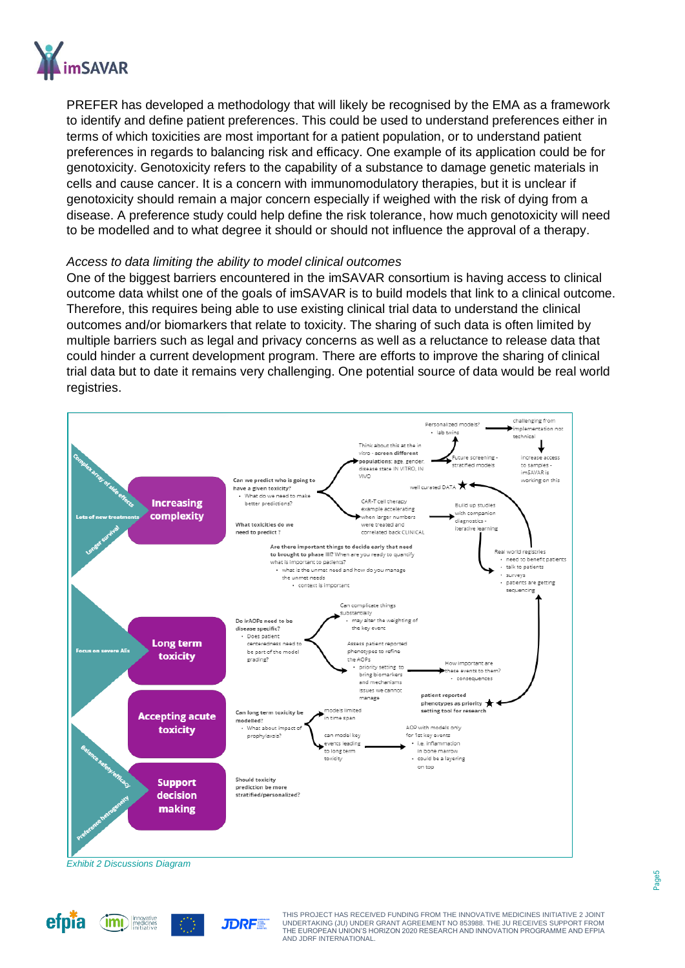

efpia

PREFER has developed a methodology that will likely be recognised by the EMA as a framework to identify and define patient preferences. This could be used to understand preferences either in terms of which toxicities are most important for a patient population, or to understand patient preferences in regards to balancing risk and efficacy. One example of its application could be for genotoxicity. Genotoxicity refers to the capability of a substance to damage genetic materials in cells and cause cancer. It is a concern with immunomodulatory therapies, but it is unclear if genotoxicity should remain a major concern especially if weighed with the risk of dying from a disease. A preference study could help define the risk tolerance, how much genotoxicity will need to be modelled and to what degree it should or should not influence the approval of a therapy.

#### *Access to data limiting the ability to model clinical outcomes*

One of the biggest barriers encountered in the imSAVAR consortium is having access to clinical outcome data whilst one of the goals of imSAVAR is to build models that link to a clinical outcome. Therefore, this requires being able to use existing clinical trial data to understand the clinical outcomes and/or biomarkers that relate to toxicity. The sharing of such data is often limited by multiple barriers such as legal and privacy concerns as well as a reluctance to release data that could hinder a current development program. There are efforts to improve the sharing of clinical trial data but to date it remains very challenging. One potential source of data would be real world registries.



AND JDRF INTERNATIONAL.

**JDRF** 

THE EUROPEAN UNION'S HORIZON 2020 RESEARCH AND INNOVATION PROGRAMME AND EFPIA